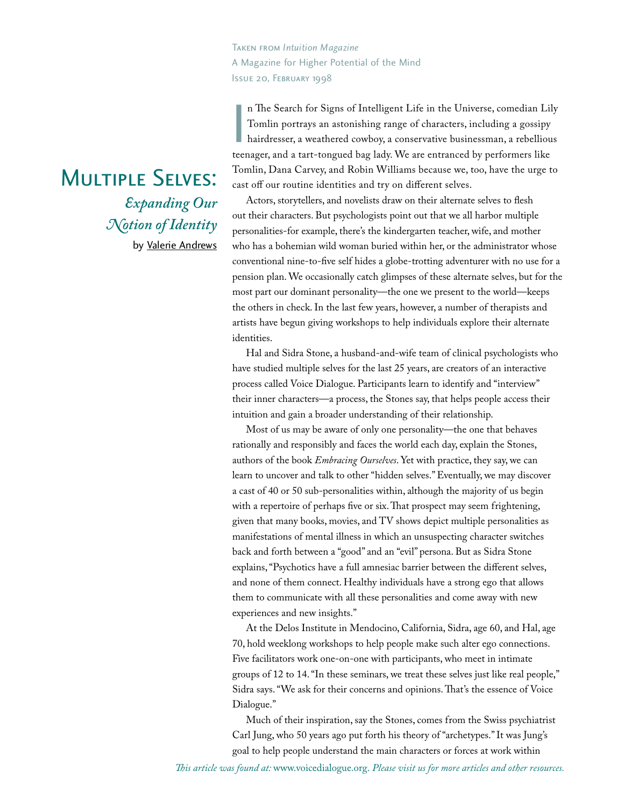Taken from *Intuition Magazine* A Magazine for Higher Potential of the Mind Issue 20, February 1998

||<br>tee:<br>To:<br>cas n The Search for Signs of Intelligent Life in the Universe, comedian Lily Tomlin portrays an astonishing range of characters, including a gossipy hairdresser, a weathered cowboy, a conservative businessman, a rebellious teenager, and a tart-tongued bag lady. We are entranced by performers like Tomlin, Dana Carvey, and Robin Williams because we, too, have the urge to cast off our routine identities and try on different selves.

Actors, storytellers, and novelists draw on their alternate selves to flesh out their characters. But psychologists point out that we all harbor multiple personalities-for example, there's the kindergarten teacher, wife, and mother who has a bohemian wild woman buried within her, or the administrator whose conventional nine-to-five self hides a globe-trotting adventurer with no use for a pension plan. We occasionally catch glimpses of these alternate selves, but for the most part our dominant personality—the one we present to the world—keeps the others in check. In the last few years, however, a number of therapists and artists have begun giving workshops to help individuals explore their alternate identities.

Hal and Sidra Stone, a husband-and-wife team of clinical psychologists who have studied multiple selves for the last 25 years, are creators of an interactive process called Voice Dialogue. Participants learn to identify and "interview" their inner characters—a process, the Stones say, that helps people access their intuition and gain a broader understanding of their relationship.

Most of us may be aware of only one personality—the one that behaves rationally and responsibly and faces the world each day, explain the Stones, authors of the book *Embracing Ourselves*. Yet with practice, they say, we can learn to uncover and talk to other "hidden selves." Eventually, we may discover a cast of 40 or 50 sub-personalities within, although the majority of us begin with a repertoire of perhaps five or six. That prospect may seem frightening, given that many books, movies, and TV shows depict multiple personalities as manifestations of mental illness in which an unsuspecting character switches back and forth between a "good" and an "evil" persona. But as Sidra Stone explains, "Psychotics have a full amnesiac barrier between the different selves, and none of them connect. Healthy individuals have a strong ego that allows them to communicate with all these personalities and come away with new experiences and new insights."

At the Delos Institute in Mendocino, California, Sidra, age 60, and Hal, age 70, hold weeklong workshops to help people make such alter ego connections. Five facilitators work one-on-one with participants, who meet in intimate groups of 12 to 14. "In these seminars, we treat these selves just like real people," Sidra says. "We ask for their concerns and opinions. That's the essence of Voice Dialogue."

Much of their inspiration, say the Stones, comes from the Swiss psychiatrist Carl Jung, who 50 years ago put forth his theory of "archetypes." It was Jung's goal to help people understand the main characters or forces at work within

## $\frac{E}{\text{F}}$  and  $\frac{E}{\text{F}}$  or  $\frac{E}{\text{F}}$ *Expanding Our Notion of Identity* by [Valerie Andrews](www.themediamuse.com)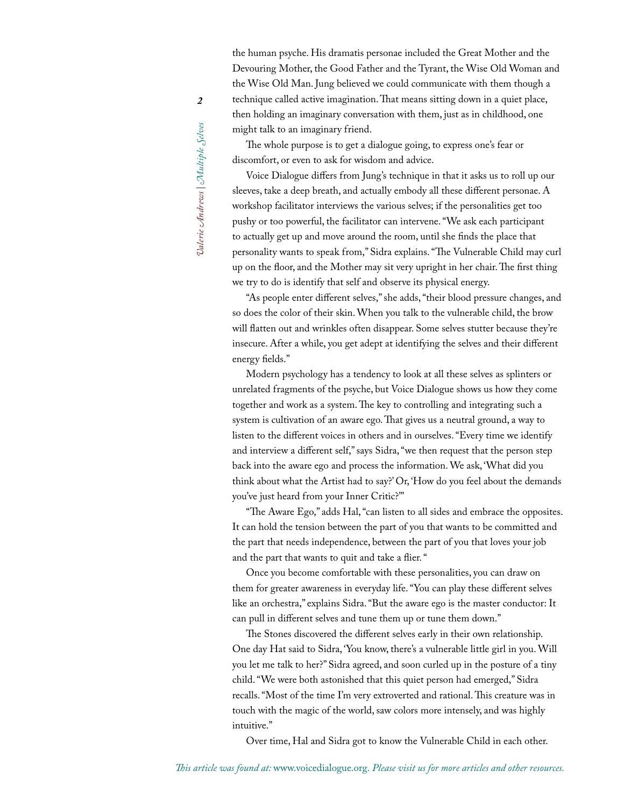The whole purpose is to get a dialogue going, to express one's fear or discomfort, or even to ask for wisdom and advice.

Voice Dialogue differs from Jung's technique in that it asks us to roll up our sleeves, take a deep breath, and actually embody all these different personae. A workshop facilitator interviews the various selves; if the personalities get too pushy or too powerful, the facilitator can intervene. "We ask each participant to actually get up and move around the room, until she finds the place that personality wants to speak from," Sidra explains. "The Vulnerable Child may curl up on the floor, and the Mother may sit very upright in her chair. The first thing we try to do is identify that self and observe its physical energy.

"As people enter different selves," she adds, "their blood pressure changes, and so does the color of their skin. When you talk to the vulnerable child, the brow will flatten out and wrinkles often disappear. Some selves stutter because they're insecure. After a while, you get adept at identifying the selves and their different energy fields."

Modern psychology has a tendency to look at all these selves as splinters or unrelated fragments of the psyche, but Voice Dialogue shows us how they come together and work as a system. The key to controlling and integrating such a system is cultivation of an aware ego. That gives us a neutral ground, a way to listen to the different voices in others and in ourselves. "Every time we identify and interview a different self," says Sidra, "we then request that the person step back into the aware ego and process the information. We ask, 'What did you think about what the Artist had to say?' Or, 'How do you feel about the demands you've just heard from your Inner Critic?'"

"The Aware Ego," adds Hal, "can listen to all sides and embrace the opposites. It can hold the tension between the part of you that wants to be committed and the part that needs independence, between the part of you that loves your job and the part that wants to quit and take a flier. "

Once you become comfortable with these personalities, you can draw on them for greater awareness in everyday life. "You can play these different selves like an orchestra," explains Sidra. "But the aware ego is the master conductor: It can pull in different selves and tune them up or tune them down."

The Stones discovered the different selves early in their own relationship. One day Hat said to Sidra, 'You know, there's a vulnerable little girl in you. Will you let me talk to her?" Sidra agreed, and soon curled up in the posture of a tiny child. "We were both astonished that this quiet person had emerged," Sidra recalls. "Most of the time I'm very extroverted and rational. This creature was in touch with the magic of the world, saw colors more intensely, and was highly intuitive."

Over time, Hal and Sidra got to know the Vulnerable Child in each other.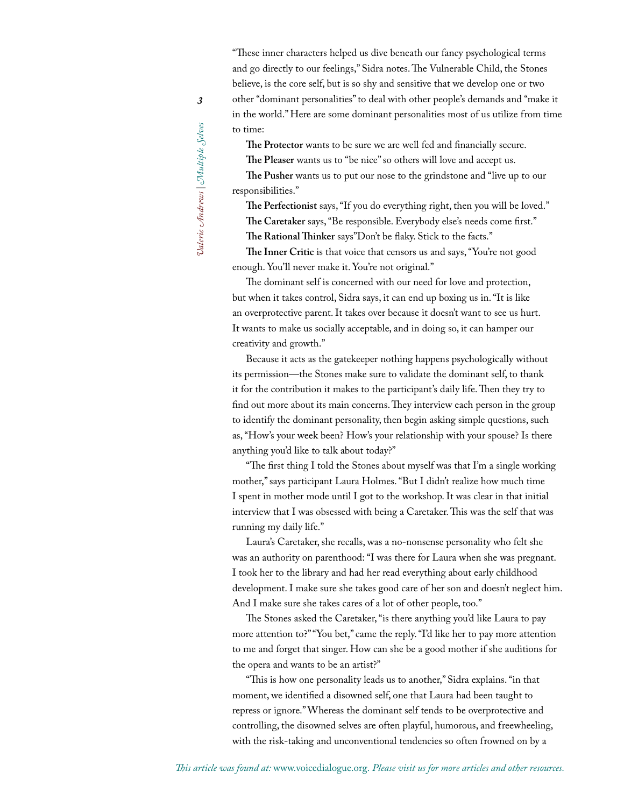"These inner characters helped us dive beneath our fancy psychological terms and go directly to our feelings," Sidra notes. The Vulnerable Child, the Stones believe, is the core self, but is so shy and sensitive that we develop one or two other "dominant personalities" to deal with other people's demands and "make it in the world." Here are some dominant personalities most of us utilize from time to time:

The Protector wants to be sure we are well fed and financially secure.

**The Pleaser** wants us to "be nice" so others will love and accept us.

**The Pusher** wants us to put our nose to the grindstone and "live up to our responsibilities."

**The Perfectionist** says, "If you do everything right, then you will be loved." **The Caretaker** says, "Be responsible. Everybody else's needs come first." **The Rational Thinker** says"Don't be flaky. Stick to the facts."

The Inner Critic is that voice that censors us and says, "You're not good enough. You'll never make it. You're not original."

The dominant self is concerned with our need for love and protection, but when it takes control, Sidra says, it can end up boxing us in. "It is like an overprotective parent. It takes over because it doesn't want to see us hurt. It wants to make us socially acceptable, and in doing so, it can hamper our creativity and growth."

Because it acts as the gatekeeper nothing happens psychologically without its permission—the Stones make sure to validate the dominant self, to thank it for the contribution it makes to the participant's daily life. Then they try to find out more about its main concerns. They interview each person in the group to identify the dominant personality, then begin asking simple questions, such as, "How's your week been? How's your relationship with your spouse? Is there anything you'd like to talk about today?"

"The first thing I told the Stones about myself was that I'm a single working mother," says participant Laura Holmes. "But I didn't realize how much time I spent in mother mode until I got to the workshop. It was clear in that initial interview that I was obsessed with being a Caretaker. This was the self that was running my daily life."

Laura's Caretaker, she recalls, was a no-nonsense personality who felt she was an authority on parenthood: "I was there for Laura when she was pregnant. I took her to the library and had her read everything about early childhood development. I make sure she takes good care of her son and doesn't neglect him. And I make sure she takes cares of a lot of other people, too."

The Stones asked the Caretaker, "is there anything you'd like Laura to pay more attention to?" "You bet," came the reply. "I'd like her to pay more attention to me and forget that singer. How can she be a good mother if she auditions for the opera and wants to be an artist?"

"This is how one personality leads us to another," Sidra explains. "in that moment, we identified a disowned self, one that Laura had been taught to repress or ignore." Whereas the dominant self tends to be overprotective and controlling, the disowned selves are often playful, humorous, and freewheeling, with the risk-taking and unconventional tendencies so often frowned on by a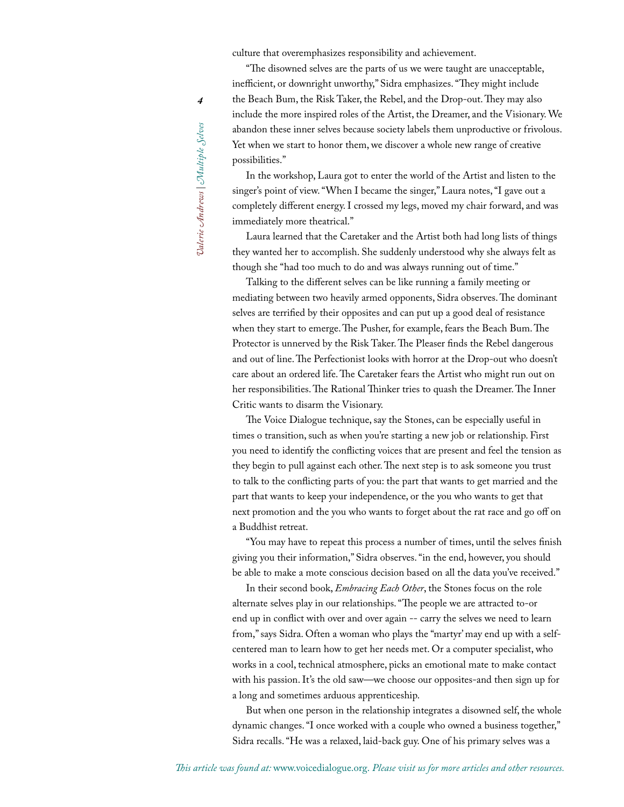culture that overemphasizes responsibility and achievement.

"The disowned selves are the parts of us we were taught are unacceptable, inefficient, or downright unworthy," Sidra emphasizes. "They might include the Beach Bum, the Risk Taker, the Rebel, and the Drop-out. They may also include the more inspired roles of the Artist, the Dreamer, and the Visionary. We abandon these inner selves because society labels them unproductive or frivolous. Yet when we start to honor them, we discover a whole new range of creative possibilities."

In the workshop, Laura got to enter the world of the Artist and listen to the singer's point of view. "When I became the singer," Laura notes, "I gave out a completely different energy. I crossed my legs, moved my chair forward, and was immediately more theatrical."

Laura learned that the Caretaker and the Artist both had long lists of things they wanted her to accomplish. She suddenly understood why she always felt as though she "had too much to do and was always running out of time."

Talking to the different selves can be like running a family meeting or mediating between two heavily armed opponents, Sidra observes. The dominant selves are terrified by their opposites and can put up a good deal of resistance when they start to emerge. The Pusher, for example, fears the Beach Bum. The Protector is unnerved by the Risk Taker. The Pleaser finds the Rebel dangerous and out of line. The Perfectionist looks with horror at the Drop-out who doesn't care about an ordered life. The Caretaker fears the Artist who might run out on her responsibilities. The Rational Thinker tries to quash the Dreamer. The Inner Critic wants to disarm the Visionary.

The Voice Dialogue technique, say the Stones, can be especially useful in times o transition, such as when you're starting a new job or relationship. First you need to identify the conflicting voices that are present and feel the tension as they begin to pull against each other. The next step is to ask someone you trust to talk to the conflicting parts of you: the part that wants to get married and the part that wants to keep your independence, or the you who wants to get that next promotion and the you who wants to forget about the rat race and go off on a Buddhist retreat.

"You may have to repeat this process a number of times, until the selves finish giving you their information," Sidra observes. "in the end, however, you should be able to make a mote conscious decision based on all the data you've received."

In their second book, *Embracing Each Other*, the Stones focus on the role alternate selves play in our relationships. "The people we are attracted to-or end up in conflict with over and over again -- carry the selves we need to learn from," says Sidra. Often a woman who plays the "martyr' may end up with a selfcentered man to learn how to get her needs met. Or a computer specialist, who works in a cool, technical atmosphere, picks an emotional mate to make contact with his passion. It's the old saw—we choose our opposites-and then sign up for a long and sometimes arduous apprenticeship.

But when one person in the relationship integrates a disowned self, the whole dynamic changes. "I once worked with a couple who owned a business together," Sidra recalls. "He was a relaxed, laid-back guy. One of his primary selves was a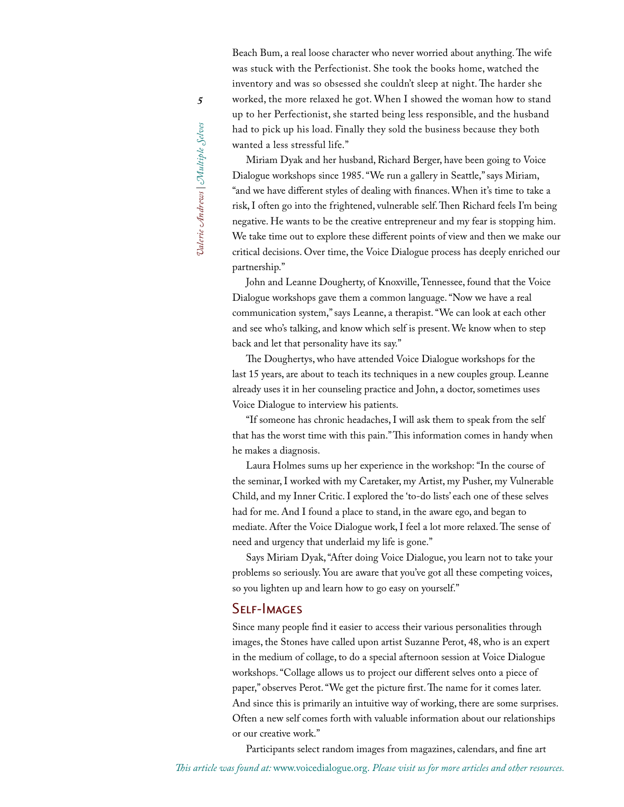Miriam Dyak and her husband, Richard Berger, have been going to Voice Dialogue workshops since 1985. "We run a gallery in Seattle," says Miriam, "and we have different styles of dealing with finances. When it's time to take a risk, I often go into the frightened, vulnerable self. Then Richard feels I'm being negative. He wants to be the creative entrepreneur and my fear is stopping him. We take time out to explore these different points of view and then we make our critical decisions. Over time, the Voice Dialogue process has deeply enriched our partnership."

John and Leanne Dougherty, of Knoxville, Tennessee, found that the Voice Dialogue workshops gave them a common language. "Now we have a real communication system," says Leanne, a therapist. "We can look at each other and see who's talking, and know which self is present. We know when to step back and let that personality have its say."

The Doughertys, who have attended Voice Dialogue workshops for the last 15 years, are about to teach its techniques in a new couples group. Leanne already uses it in her counseling practice and John, a doctor, sometimes uses Voice Dialogue to interview his patients.

"If someone has chronic headaches, I will ask them to speak from the self that has the worst time with this pain." This information comes in handy when he makes a diagnosis.

Laura Holmes sums up her experience in the workshop: "In the course of the seminar, I worked with my Caretaker, my Artist, my Pusher, my Vulnerable Child, and my Inner Critic. I explored the 'to-do lists' each one of these selves had for me. And I found a place to stand, in the aware ego, and began to mediate. After the Voice Dialogue work, I feel a lot more relaxed. The sense of need and urgency that underlaid my life is gone."

Says Miriam Dyak, "After doing Voice Dialogue, you learn not to take your problems so seriously. You are aware that you've got all these competing voices, so you lighten up and learn how to go easy on yourself."

Self-Images Since many people find it easier to access their various personalities through images, the Stones have called upon artist Suzanne Perot, 48, who is an expert in the medium of collage, to do a special afternoon session at Voice Dialogue workshops. "Collage allows us to project our different selves onto a piece of paper," observes Perot. "We get the picture first. The name for it comes later. And since this is primarily an intuitive way of working, there are some surprises. Often a new self comes forth with valuable information about our relationships or our creative work."

Participants select random images from magazines, calendars, and fine art

Dalerie Andrews | Multiple Selves *Valerie Andrews | Multiple Selves*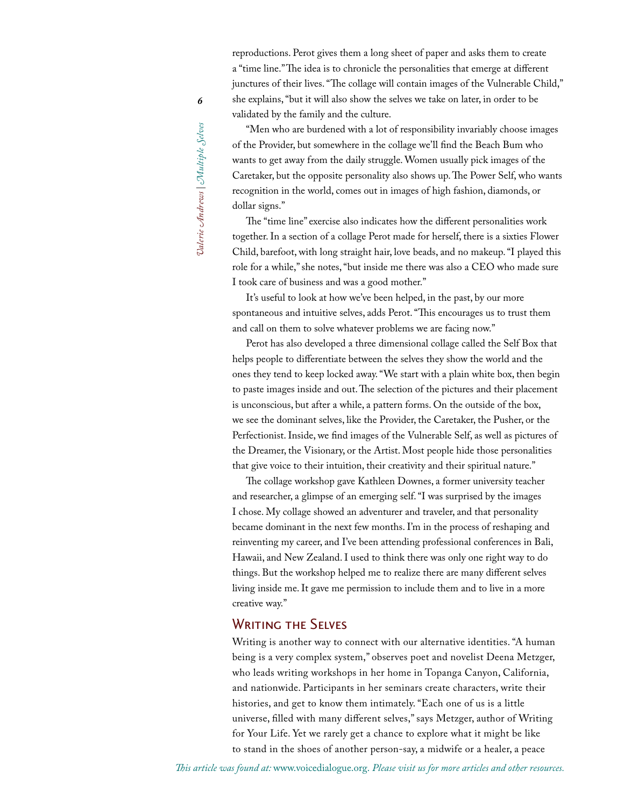"Men who are burdened with a lot of responsibility invariably choose images of the Provider, but somewhere in the collage we'll find the Beach Bum who wants to get away from the daily struggle. Women usually pick images of the Caretaker, but the opposite personality also shows up. The Power Self, who wants recognition in the world, comes out in images of high fashion, diamonds, or dollar signs."

The "time line" exercise also indicates how the different personalities work together. In a section of a collage Perot made for herself, there is a sixties Flower Child, barefoot, with long straight hair, love beads, and no makeup. "I played this role for a while," she notes, "but inside me there was also a CEO who made sure I took care of business and was a good mother."

It's useful to look at how we've been helped, in the past, by our more spontaneous and intuitive selves, adds Perot. "This encourages us to trust them and call on them to solve whatever problems we are facing now."

Perot has also developed a three dimensional collage called the Self Box that helps people to differentiate between the selves they show the world and the ones they tend to keep locked away. "We start with a plain white box, then begin to paste images inside and out. The selection of the pictures and their placement is unconscious, but after a while, a pattern forms. On the outside of the box, we see the dominant selves, like the Provider, the Caretaker, the Pusher, or the Perfectionist. Inside, we find images of the Vulnerable Self, as well as pictures of the Dreamer, the Visionary, or the Artist. Most people hide those personalities that give voice to their intuition, their creativity and their spiritual nature."

The collage workshop gave Kathleen Downes, a former university teacher and researcher, a glimpse of an emerging self. "I was surprised by the images I chose. My collage showed an adventurer and traveler, and that personality became dominant in the next few months. I'm in the process of reshaping and reinventing my career, and I've been attending professional conferences in Bali, Hawaii, and New Zealand. I used to think there was only one right way to do things. But the workshop helped me to realize there are many different selves living inside me. It gave me permission to include them and to live in a more creative way."

WRITING TILE SELVES<br>Writing is another way to connect with our alternative identities. "A human being is a very complex system," observes poet and novelist Deena Metzger, who leads writing workshops in her home in Topanga Canyon, California, and nationwide. Participants in her seminars create characters, write their histories, and get to know them intimately. "Each one of us is a little universe, filled with many different selves," says Metzger, author of Writing for Your Life. Yet we rarely get a chance to explore what it might be like to stand in the shoes of another person-say, a midwife or a healer, a peace

Dalerie Andrews | Multiple Selves *Valerie Andrews | Multiple Selves*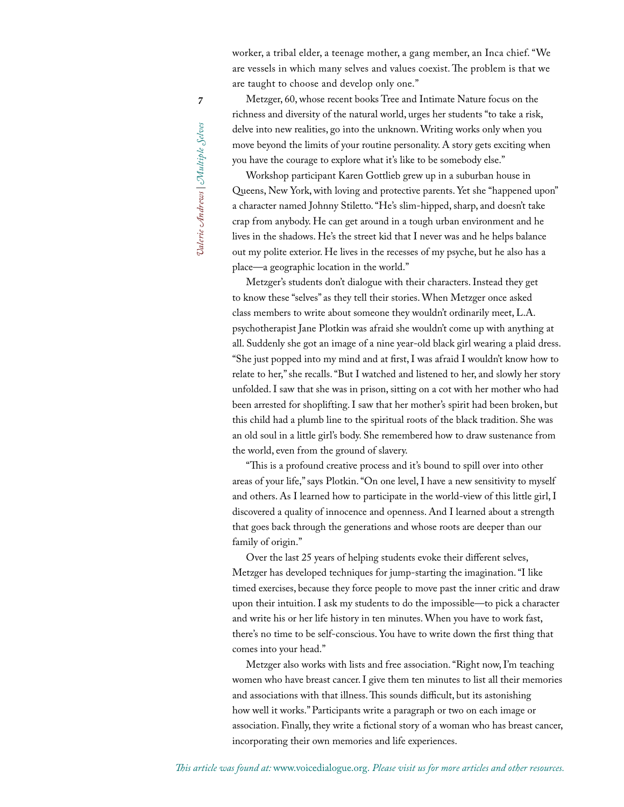worker, a tribal elder, a teenage mother, a gang member, an Inca chief. "We are vessels in which many selves and values coexist. The problem is that we are taught to choose and develop only one."

*7*Dalerie Andrews | Multiple Selves *Valerie Andrews | Multiple Selves*

Metzger, 60, whose recent books Tree and Intimate Nature focus on the richness and diversity of the natural world, urges her students "to take a risk, delve into new realities, go into the unknown. Writing works only when you move beyond the limits of your routine personality. A story gets exciting when you have the courage to explore what it's like to be somebody else."

Workshop participant Karen Gottlieb grew up in a suburban house in Queens, New York, with loving and protective parents. Yet she "happened upon" a character named Johnny Stiletto. "He's slim-hipped, sharp, and doesn't take crap from anybody. He can get around in a tough urban environment and he lives in the shadows. He's the street kid that I never was and he helps balance out my polite exterior. He lives in the recesses of my psyche, but he also has a place—a geographic location in the world."

Metzger's students don't dialogue with their characters. Instead they get to know these "selves" as they tell their stories. When Metzger once asked class members to write about someone they wouldn't ordinarily meet, L.A. psychotherapist Jane Plotkin was afraid she wouldn't come up with anything at all. Suddenly she got an image of a nine year-old black girl wearing a plaid dress. "She just popped into my mind and at first, I was afraid I wouldn't know how to relate to her," she recalls. "But I watched and listened to her, and slowly her story unfolded. I saw that she was in prison, sitting on a cot with her mother who had been arrested for shoplifting. I saw that her mother's spirit had been broken, but this child had a plumb line to the spiritual roots of the black tradition. She was an old soul in a little girl's body. She remembered how to draw sustenance from the world, even from the ground of slavery.

"This is a profound creative process and it's bound to spill over into other areas of your life," says Plotkin. "On one level, I have a new sensitivity to myself and others. As I learned how to participate in the world-view of this little girl, I discovered a quality of innocence and openness. And I learned about a strength that goes back through the generations and whose roots are deeper than our family of origin."

Over the last 25 years of helping students evoke their different selves, Metzger has developed techniques for jump-starting the imagination. "I like timed exercises, because they force people to move past the inner critic and draw upon their intuition. I ask my students to do the impossible—to pick a character and write his or her life history in ten minutes. When you have to work fast, there's no time to be self-conscious. You have to write down the first thing that comes into your head."

Metzger also works with lists and free association. "Right now, I'm teaching women who have breast cancer. I give them ten minutes to list all their memories and associations with that illness. This sounds difficult, but its astonishing how well it works." Participants write a paragraph or two on each image or association. Finally, they write a fictional story of a woman who has breast cancer, incorporating their own memories and life experiences.